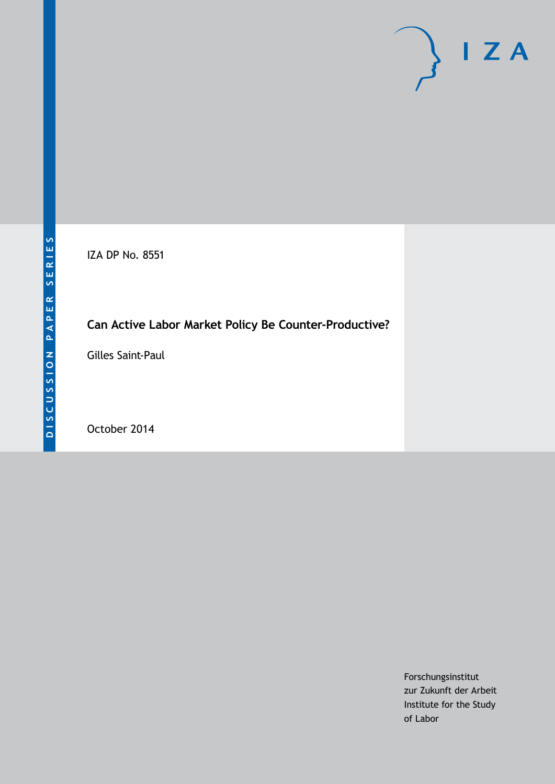# $I Z A$

IZA DP No. 8551

## **Can Active Labor Market Policy Be Counter-Productive?**

Gilles Saint-Paul

October 2014

Forschungsinstitut zur Zukunft der Arbeit Institute for the Study of Labor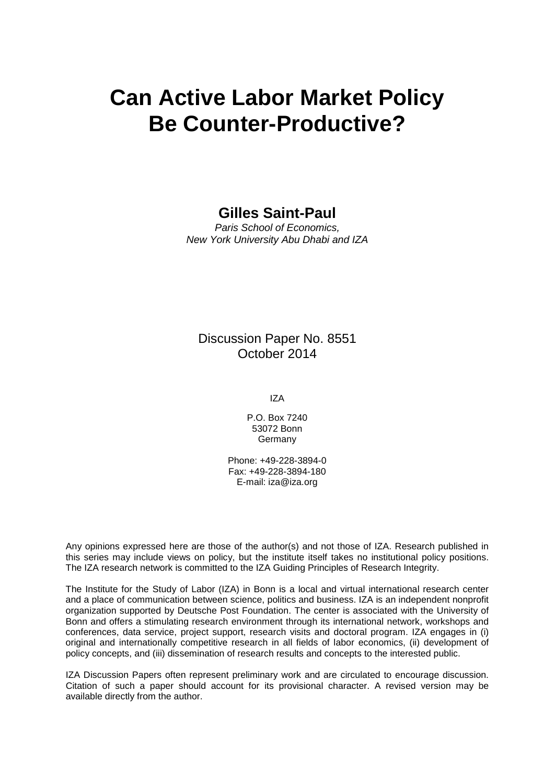# **Can Active Labor Market Policy Be Counter-Productive?**

#### **Gilles Saint-Paul**

*Paris School of Economics, New York University Abu Dhabi and IZA*

#### Discussion Paper No. 8551 October 2014

IZA

P.O. Box 7240 53072 Bonn **Germany** 

Phone: +49-228-3894-0 Fax: +49-228-3894-180 E-mail: [iza@iza.org](mailto:iza@iza.org)

Any opinions expressed here are those of the author(s) and not those of IZA. Research published in this series may include views on policy, but the institute itself takes no institutional policy positions. The IZA research network is committed to the IZA Guiding Principles of Research Integrity.

The Institute for the Study of Labor (IZA) in Bonn is a local and virtual international research center and a place of communication between science, politics and business. IZA is an independent nonprofit organization supported by Deutsche Post Foundation. The center is associated with the University of Bonn and offers a stimulating research environment through its international network, workshops and conferences, data service, project support, research visits and doctoral program. IZA engages in (i) original and internationally competitive research in all fields of labor economics, (ii) development of policy concepts, and (iii) dissemination of research results and concepts to the interested public.

IZA Discussion Papers often represent preliminary work and are circulated to encourage discussion. Citation of such a paper should account for its provisional character. A revised version may be available directly from the author.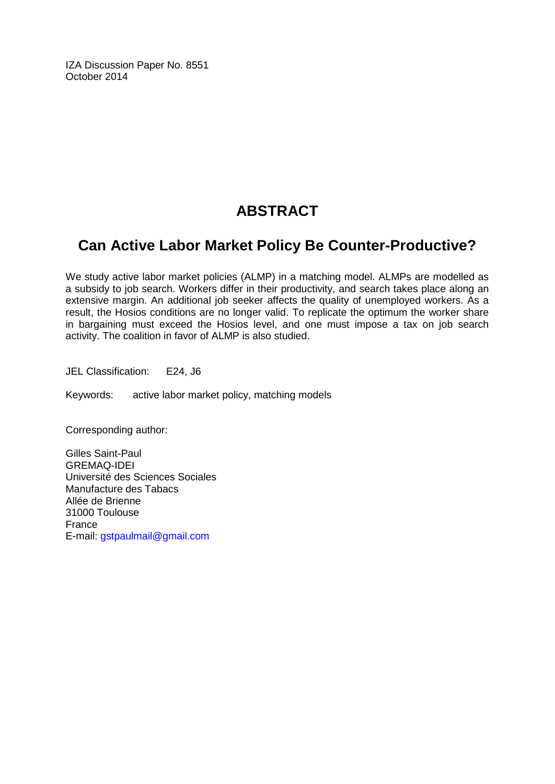IZA Discussion Paper No. 8551 October 2014

## **ABSTRACT**

## **Can Active Labor Market Policy Be Counter-Productive?**

We study active labor market policies (ALMP) in a matching model. ALMPs are modelled as a subsidy to job search. Workers differ in their productivity, and search takes place along an extensive margin. An additional job seeker affects the quality of unemployed workers. As a result, the Hosios conditions are no longer valid. To replicate the optimum the worker share in bargaining must exceed the Hosios level, and one must impose a tax on job search activity. The coalition in favor of ALMP is also studied.

JEL Classification: E24, J6

Keywords: active labor market policy, matching models

Corresponding author:

Gilles Saint-Paul GREMAQ-IDEI Université des Sciences Sociales Manufacture des Tabacs Allée de Brienne 31000 Toulouse France E-mail: [gstpaulmail@gmail.com](mailto:gstpaulmail@gmail.com)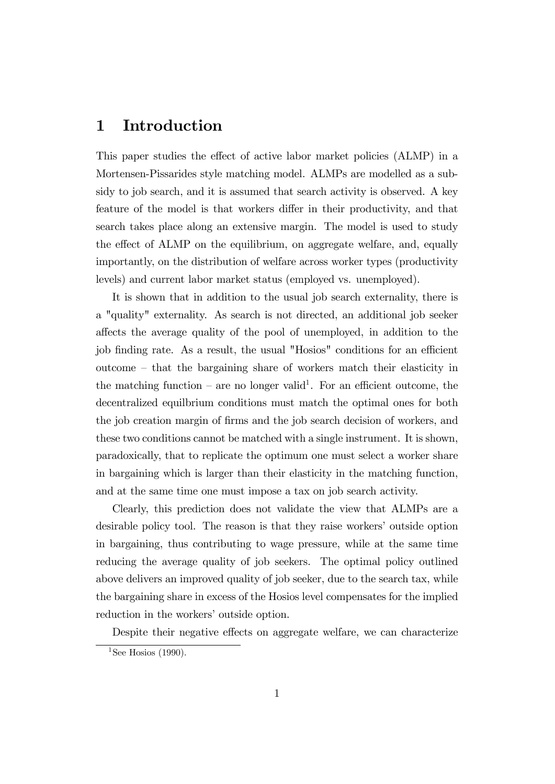#### 1 Introduction

This paper studies the effect of active labor market policies (ALMP) in a Mortensen-Pissarides style matching model. ALMPs are modelled as a subsidy to job search, and it is assumed that search activity is observed. A key feature of the model is that workers differ in their productivity, and that search takes place along an extensive margin. The model is used to study the effect of ALMP on the equilibrium, on aggregate welfare, and, equally importantly, on the distribution of welfare across worker types (productivity levels) and current labor market status (employed vs. unemployed).

It is shown that in addition to the usual job search externality, there is a "quality" externality. As search is not directed, an additional job seeker a§ects the average quality of the pool of unemployed, in addition to the job finding rate. As a result, the usual "Hosios" conditions for an efficient  $outcome - that the bargaining share of workers match their elasticity in$ the matching function – are no longer valid<sup>1</sup>. For an efficient outcome, the decentralized equilbrium conditions must match the optimal ones for both the job creation margin of Örms and the job search decision of workers, and these two conditions cannot be matched with a single instrument. It is shown, paradoxically, that to replicate the optimum one must select a worker share in bargaining which is larger than their elasticity in the matching function, and at the same time one must impose a tax on job search activity.

Clearly, this prediction does not validate the view that ALMPs are a desirable policy tool. The reason is that they raise workers' outside option in bargaining, thus contributing to wage pressure, while at the same time reducing the average quality of job seekers. The optimal policy outlined above delivers an improved quality of job seeker, due to the search tax, while the bargaining share in excess of the Hosios level compensates for the implied reduction in the workers' outside option.

Despite their negative effects on aggregate welfare, we can characterize

<sup>&</sup>lt;sup>1</sup>See Hosios (1990).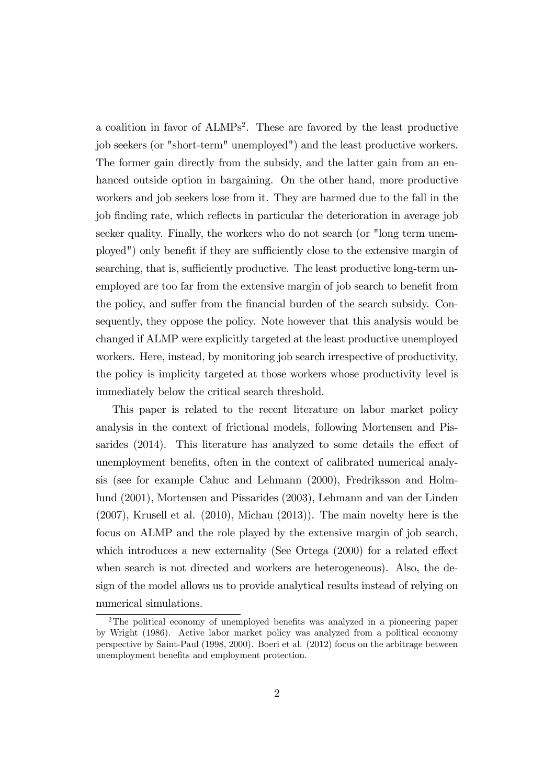a coalition in favor of ALMPs<sup>2</sup>. These are favored by the least productive job seekers (or "short-term" unemployed") and the least productive workers. The former gain directly from the subsidy, and the latter gain from an enhanced outside option in bargaining. On the other hand, more productive workers and job seekers lose from it. They are harmed due to the fall in the job finding rate, which reflects in particular the deterioration in average job seeker quality. Finally, the workers who do not search (or "long term unemployed") only benefit if they are sufficiently close to the extensive margin of searching, that is, sufficiently productive. The least productive long-term unemployed are too far from the extensive margin of job search to benefit from the policy, and suffer from the financial burden of the search subsidy. Consequently, they oppose the policy. Note however that this analysis would be changed if ALMP were explicitly targeted at the least productive unemployed workers. Here, instead, by monitoring job search irrespective of productivity, the policy is implicity targeted at those workers whose productivity level is immediately below the critical search threshold.

This paper is related to the recent literature on labor market policy analysis in the context of frictional models, following Mortensen and Pissarides  $(2014)$ . This literature has analyzed to some details the effect of unemployment benefits, often in the context of calibrated numerical analysis (see for example Cahuc and Lehmann (2000), Fredriksson and Holmlund (2001), Mortensen and Pissarides (2003), Lehmann and van der Linden (2007), Krusell et al. (2010), Michau (2013)). The main novelty here is the focus on ALMP and the role played by the extensive margin of job search, which introduces a new externality (See Ortega  $(2000)$  for a related effect when search is not directed and workers are heterogeneous). Also, the design of the model allows us to provide analytical results instead of relying on numerical simulations.

 $2$ The political economy of unemployed benefits was analyzed in a pioneering paper by Wright (1986). Active labor market policy was analyzed from a political economy perspective by Saint-Paul (1998, 2000). Boeri et al. (2012) focus on the arbitrage between unemployment benefits and employment protection.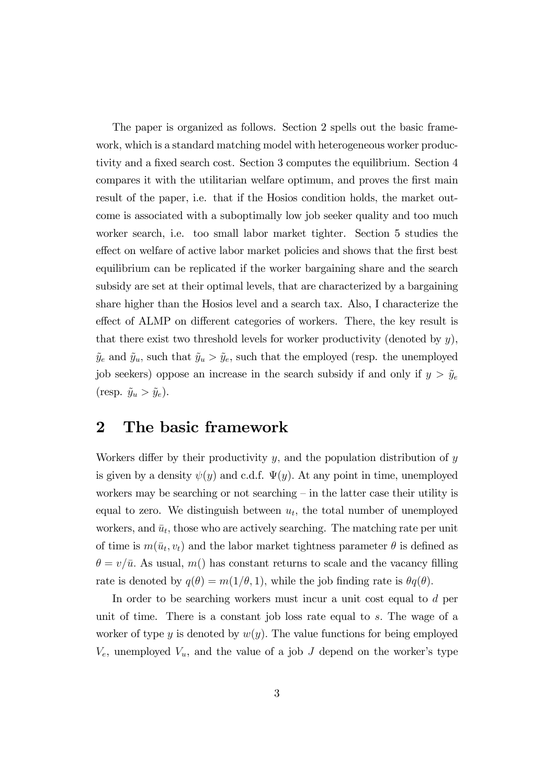The paper is organized as follows. Section 2 spells out the basic framework, which is a standard matching model with heterogeneous worker productivity and a fixed search cost. Section 3 computes the equilibrium. Section 4 compares it with the utilitarian welfare optimum, and proves the first main result of the paper, i.e. that if the Hosios condition holds, the market outcome is associated with a suboptimally low job seeker quality and too much worker search, i.e. too small labor market tighter. Section 5 studies the effect on welfare of active labor market policies and shows that the first best equilibrium can be replicated if the worker bargaining share and the search subsidy are set at their optimal levels, that are characterized by a bargaining share higher than the Hosios level and a search tax. Also, I characterize the effect of ALMP on different categories of workers. There, the key result is that there exist two threshold levels for worker productivity (denoted by  $y$ ),  $\tilde{y}_e$  and  $\tilde{y}_u$ , such that  $\tilde{y}_u > \tilde{y}_e$ , such that the employed (resp. the unemployed job seekers) oppose an increase in the search subsidy if and only if  $y > \tilde{y}_e$ (resp.  $\tilde{y}_u > \tilde{y}_e$ ).

#### 2 The basic framework

Workers differ by their productivity  $y$ , and the population distribution of  $y$ is given by a density  $\psi(y)$  and c.d.f.  $\Psi(y)$ . At any point in time, unemployed workers may be searching or not searching  $-\text{in the latter case their utility is}$ equal to zero. We distinguish between  $u_t$ , the total number of unemployed workers, and  $\bar{u}_t$ , those who are actively searching. The matching rate per unit of time is  $m(\bar{u}_t, v_t)$  and the labor market tightness parameter  $\theta$  is defined as  $\theta = v/\bar{u}$ . As usual, m() has constant returns to scale and the vacancy filling rate is denoted by  $q(\theta) = m(1/\theta, 1)$ , while the job finding rate is  $\theta q(\theta)$ .

In order to be searching workers must incur a unit cost equal to d per unit of time. There is a constant job loss rate equal to  $s$ . The wage of a worker of type y is denoted by  $w(y)$ . The value functions for being employed  $V_e$ , unemployed  $V_u$ , and the value of a job J depend on the worker's type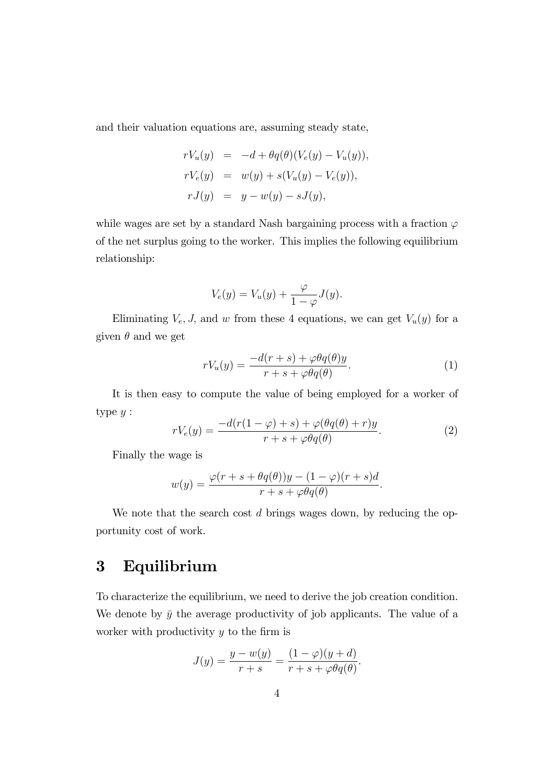and their valuation equations are, assuming steady state,

$$
rV_u(y) = -d + \theta q(\theta)(V_e(y) - V_u(y)),
$$
  
\n
$$
rV_e(y) = w(y) + s(V_u(y) - V_e(y)),
$$
  
\n
$$
rJ(y) = y - w(y) - sJ(y),
$$

while wages are set by a standard Nash bargaining process with a fraction  $\varphi$ of the net surplus going to the worker. This implies the following equilibrium relationship:

$$
V_e(y) = V_u(y) + \frac{\varphi}{1 - \varphi} J(y).
$$

Eliminating  $V_e$ , J, and w from these 4 equations, we can get  $V_u(y)$  for a given  $\theta$  and we get

$$
rV_u(y) = \frac{-d(r+s) + \varphi\theta q(\theta)y}{r+s + \varphi\theta q(\theta)}.
$$
\n(1)

It is then easy to compute the value of being employed for a worker of type  $y$  :

$$
rV_e(y) = \frac{-d(r(1-\varphi) + s) + \varphi(\theta q(\theta) + r)y}{r + s + \varphi\theta q(\theta)}.
$$
\n(2)

Finally the wage is

$$
w(y) = \frac{\varphi(r+s+\theta q(\theta))y - (1-\varphi)(r+s)d}{r+s+\varphi\theta q(\theta)}.
$$

We note that the search cost d brings wages down, by reducing the opportunity cost of work.

## 3 Equilibrium

To characterize the equilibrium, we need to derive the job creation condition. We denote by  $\bar{y}$  the average productivity of job applicants. The value of a worker with productivity  $y$  to the firm is

$$
J(y) = \frac{y - w(y)}{r + s} = \frac{(1 - \varphi)(y + d)}{r + s + \varphi \theta q(\theta)}.
$$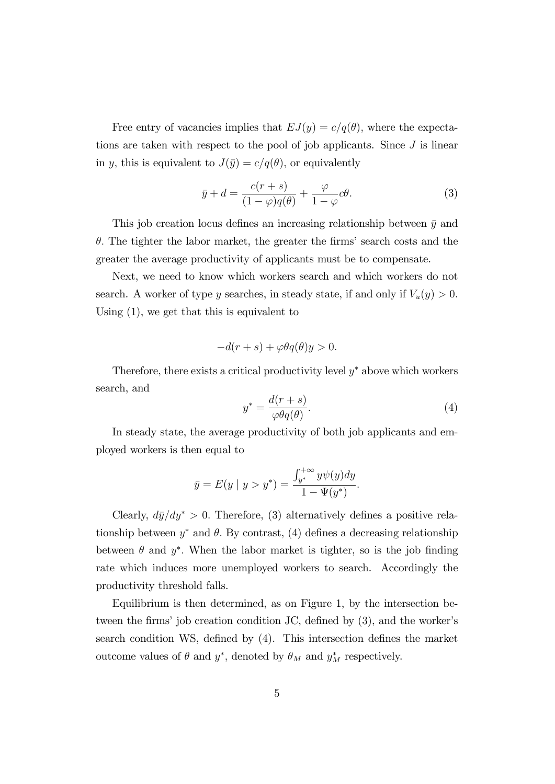Free entry of vacancies implies that  $EJ(y) = c/q(\theta)$ , where the expectations are taken with respect to the pool of job applicants. Since  $J$  is linear in y, this is equivalent to  $J(\bar{y}) = c/q(\theta)$ , or equivalently

$$
\bar{y} + d = \frac{c(r+s)}{(1-\varphi)q(\theta)} + \frac{\varphi}{1-\varphi}c\theta.
$$
\n(3)

This job creation locus defines an increasing relationship between  $\bar{y}$  and  $\theta$ . The tighter the labor market, the greater the firms' search costs and the greater the average productivity of applicants must be to compensate.

Next, we need to know which workers search and which workers do not search. A worker of type y searches, in steady state, if and only if  $V_u(y) > 0$ . Using (1), we get that this is equivalent to

$$
-d(r+s) + \varphi \theta q(\theta)y > 0.
$$

Therefore, there exists a critical productivity level  $y^*$  above which workers search, and

$$
y^* = \frac{d(r+s)}{\varphi\theta q(\theta)}.\tag{4}
$$

In steady state, the average productivity of both job applicants and employed workers is then equal to

$$
\bar{y} = E(y \mid y > y^*) = \frac{\int_{y^*}^{+\infty} y \psi(y) dy}{1 - \Psi(y^*)}.
$$

Clearly,  $d\bar{y}/dy^* > 0$ . Therefore, (3) alternatively defines a positive relationship between  $y^*$  and  $\theta$ . By contrast, (4) defines a decreasing relationship between  $\theta$  and  $y^*$ . When the labor market is tighter, so is the job finding rate which induces more unemployed workers to search. Accordingly the productivity threshold falls.

Equilibrium is then determined, as on Figure 1, by the intersection between the firms' job creation condition JC, defined by  $(3)$ , and the worker's search condition WS, defined by (4). This intersection defines the market outcome values of  $\theta$  and  $y^*$ , denoted by  $\theta_M$  and  $y^*_M$  respectively.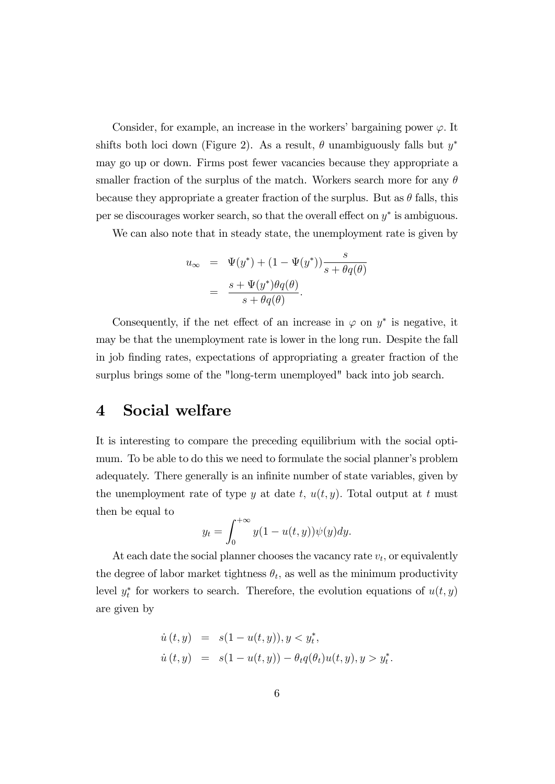Consider, for example, an increase in the workers' bargaining power  $\varphi$ . It shifts both loci down (Figure 2). As a result,  $\theta$  unambiguously falls but  $y^*$ may go up or down. Firms post fewer vacancies because they appropriate a smaller fraction of the surplus of the match. Workers search more for any  $\theta$ because they appropriate a greater fraction of the surplus. But as  $\theta$  falls, this per se discourages worker search, so that the overall effect on  $y^*$  is ambiguous.

We can also note that in steady state, the unemployment rate is given by

$$
u_{\infty} = \Psi(y^*) + (1 - \Psi(y^*)) \frac{s}{s + \theta q(\theta)}
$$
  
= 
$$
\frac{s + \Psi(y^*)\theta q(\theta)}{s + \theta q(\theta)}.
$$

Consequently, if the net effect of an increase in  $\varphi$  on  $y^*$  is negative, it may be that the unemployment rate is lower in the long run. Despite the fall in job Önding rates, expectations of appropriating a greater fraction of the surplus brings some of the "long-term unemployed" back into job search.

### 4 Social welfare

It is interesting to compare the preceding equilibrium with the social optimum. To be able to do this we need to formulate the social planner's problem adequately. There generally is an infinite number of state variables, given by the unemployment rate of type y at date t,  $u(t, y)$ . Total output at t must then be equal to

$$
y_t = \int_0^{+\infty} y(1 - u(t, y))\psi(y)dy.
$$

At each date the social planner chooses the vacancy rate  $v_t$ , or equivalently the degree of labor market tightness  $\theta_t$ , as well as the minimum productivity level  $y_t^*$  for workers to search. Therefore, the evolution equations of  $u(t, y)$ are given by

$$
\dot{u}(t, y) = s(1 - u(t, y)), y < y_t^*,
$$
\n
$$
\dot{u}(t, y) = s(1 - u(t, y)) - \theta_t q(\theta_t) u(t, y), y > y_t^*
$$

: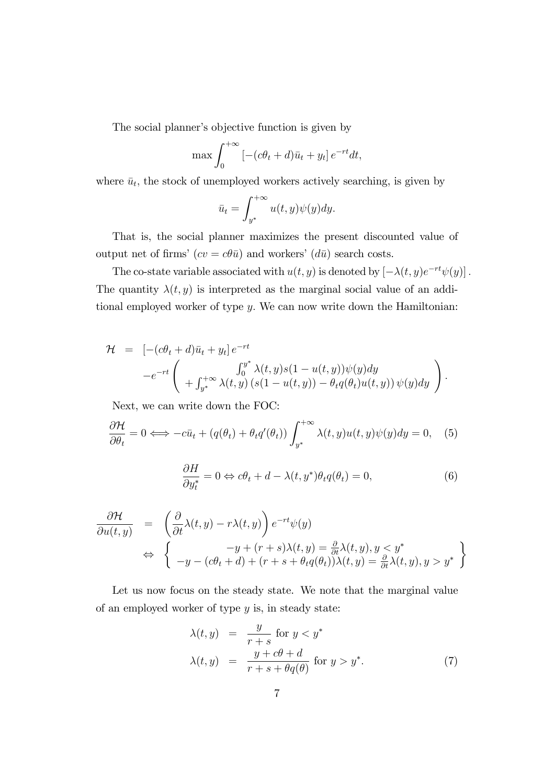The social planner's objective function is given by

$$
\max \int_0^{+\infty} \left[ -(c\theta_t + d)\bar{u}_t + y_t \right] e^{-rt} dt,
$$

where  $\bar{u}_t$ , the stock of unemployed workers actively searching, is given by

$$
\bar{u}_t = \int_{y^*}^{+\infty} u(t, y)\psi(y)dy.
$$

That is, the social planner maximizes the present discounted value of output net of firms'  $(cv = c\theta \bar{u})$  and workers'  $(d\bar{u})$  search costs.

The co-state variable associated with  $u(t, y)$  is denoted by  $[-\lambda(t, y)e^{-rt}\psi(y)]$ . The quantity  $\lambda(t, y)$  is interpreted as the marginal social value of an additional employed worker of type y: We can now write down the Hamiltonian:

$$
\mathcal{H} = \left[ -(c\theta_t + d)\bar{u}_t + y_t \right] e^{-rt}
$$
  

$$
-e^{-rt} \left( \int_0^{y^*} \lambda(t, y) s(1 - u(t, y)) \psi(y) dy + \int_{y^*}^{y^*} \lambda(t, y) (s(1 - u(t, y)) - \theta_t q(\theta_t) u(t, y)) \psi(y) dy \right).
$$

Next, we can write down the FOC:

$$
\frac{\partial \mathcal{H}}{\partial \theta_t} = 0 \Longleftrightarrow -c\bar{u}_t + (q(\theta_t) + \theta_t q'(\theta_t)) \int_{y^*}^{+\infty} \lambda(t, y) u(t, y) \psi(y) dy = 0, \quad (5)
$$

$$
\frac{\partial H}{\partial y_t^*} = 0 \Leftrightarrow c\theta_t + d - \lambda(t, y^*)\theta_t q(\theta_t) = 0,\tag{6}
$$

$$
\frac{\partial \mathcal{H}}{\partial u(t,y)} = \left( \frac{\partial}{\partial t} \lambda(t,y) - r\lambda(t,y) \right) e^{-rt} \psi(y) \n\Leftrightarrow \left\{ \begin{array}{l} -y + (r+s)\lambda(t,y) = \frac{\partial}{\partial t} \lambda(t,y), y < y^* \\ -y - (c\theta_t + d) + (r+s + \theta_t q(\theta_t))\lambda(t,y) = \frac{\partial}{\partial t} \lambda(t,y), y > y^* \end{array} \right\}
$$

Let us now focus on the steady state. We note that the marginal value of an employed worker of type  $y$  is, in steady state:

$$
\lambda(t, y) = \frac{y}{r+s} \text{ for } y < y^*
$$
  
\n
$$
\lambda(t, y) = \frac{y+c\theta+d}{r+s+\theta q(\theta)} \text{ for } y > y^*.
$$
\n(7)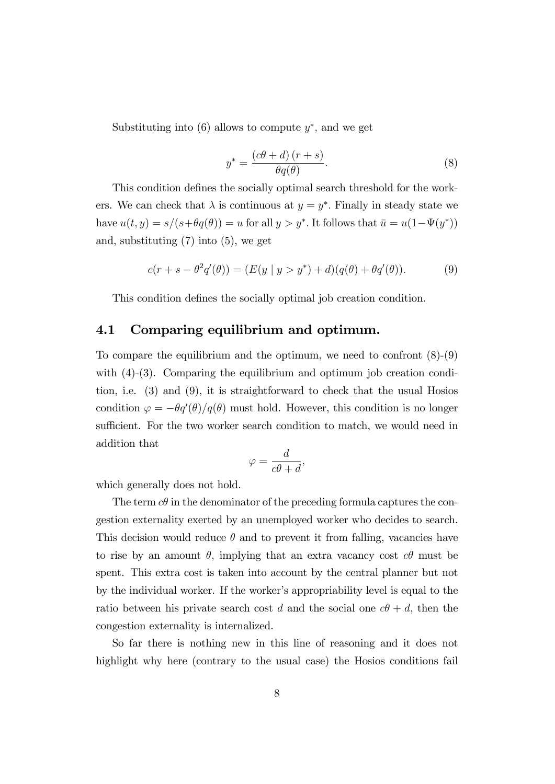Substituting into  $(6)$  allows to compute  $y^*$ , and we get

$$
y^* = \frac{(c\theta + d)(r + s)}{\theta q(\theta)}.
$$
 (8)

This condition defines the socially optimal search threshold for the workers. We can check that  $\lambda$  is continuous at  $y = y^*$ . Finally in steady state we have  $u(t, y) = s/(s + \theta q(\theta)) = u$  for all  $y > y^*$ . It follows that  $\bar{u} = u(1 - \Psi(y^*))$ and, substituting (7) into (5), we get

$$
c(r + s - \theta^2 q'(\theta)) = (E(y | y > y^*) + d)(q(\theta) + \theta q'(\theta)).
$$
 (9)

This condition defines the socially optimal job creation condition.

#### 4.1 Comparing equilibrium and optimum.

To compare the equilibrium and the optimum, we need to confront (8)-(9) with (4)-(3). Comparing the equilibrium and optimum job creation condition, i.e. (3) and (9), it is straightforward to check that the usual Hosios condition  $\varphi = -\theta q'(\theta) / q(\theta)$  must hold. However, this condition is no longer sufficient. For the two worker search condition to match, we would need in addition that

$$
\varphi = \frac{d}{c\theta + d},
$$

which generally does not hold.

The term  $c\theta$  in the denominator of the preceding formula captures the congestion externality exerted by an unemployed worker who decides to search. This decision would reduce  $\theta$  and to prevent it from falling, vacancies have to rise by an amount  $\theta$ , implying that an extra vacancy cost  $c\theta$  must be spent. This extra cost is taken into account by the central planner but not by the individual worker. If the worker's appropriability level is equal to the ratio between his private search cost d and the social one  $c\theta + d$ , then the congestion externality is internalized.

So far there is nothing new in this line of reasoning and it does not highlight why here (contrary to the usual case) the Hosios conditions fail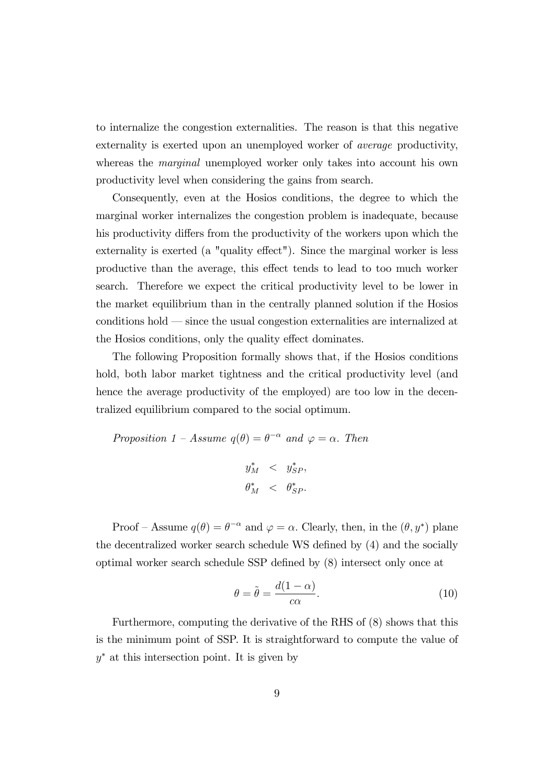to internalize the congestion externalities. The reason is that this negative externality is exerted upon an unemployed worker of average productivity, whereas the *marginal* unemployed worker only takes into account his own productivity level when considering the gains from search.

Consequently, even at the Hosios conditions, the degree to which the marginal worker internalizes the congestion problem is inadequate, because his productivity differs from the productivity of the workers upon which the externality is exerted (a "quality effect"). Since the marginal worker is less productive than the average, this effect tends to lead to too much worker search. Therefore we expect the critical productivity level to be lower in the market equilibrium than in the centrally planned solution if the Hosios conditions hold – since the usual congestion externalities are internalized at the Hosios conditions, only the quality effect dominates.

The following Proposition formally shows that, if the Hosios conditions hold, both labor market tightness and the critical productivity level (and hence the average productivity of the employed) are too low in the decentralized equilibrium compared to the social optimum.

Proposition 1 - Assume 
$$
q(\theta) = \theta^{-\alpha}
$$
 and  $\varphi = \alpha$ . Then  
\n $y_M^* < y_{SP}^*,$   
\n $\theta_M^* < \theta_{SP}^*.$ 

Proof – Assume  $q(\theta) = \theta^{-\alpha}$  and  $\varphi = \alpha$ . Clearly, then, in the  $(\theta, y^*)$  plane the decentralized worker search schedule WS defined by  $(4)$  and the socially optimal worker search schedule SSP defined by  $(8)$  intersect only once at

$$
\theta = \tilde{\theta} = \frac{d(1 - \alpha)}{c\alpha}.
$$
\n(10)

Furthermore, computing the derivative of the RHS of (8) shows that this is the minimum point of SSP. It is straightforward to compute the value of y at this intersection point. It is given by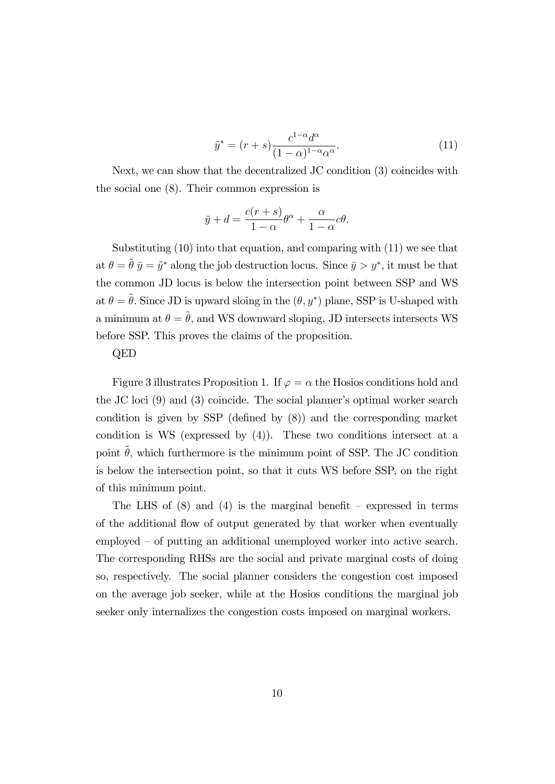$$
\tilde{y}^* = (r+s)\frac{c^{1-\alpha}d^{\alpha}}{(1-\alpha)^{1-\alpha}\alpha^{\alpha}}.\tag{11}
$$

Next, we can show that the decentralized JC condition (3) coincides with the social one (8). Their common expression is

$$
\bar{y} + d = \frac{c(r+s)}{1-\alpha} \theta^{\alpha} + \frac{\alpha}{1-\alpha} c\theta.
$$

Substituting (10) into that equation, and comparing with (11) we see that at  $\theta = \tilde{\theta} \bar{y} = \tilde{y}^*$  along the job destruction locus. Since  $\bar{y} > y^*$ , it must be that the common JD locus is below the intersection point between SSP and WS at  $\theta = \tilde{\theta}$ . Since JD is upward sloing in the  $(\theta, y^*)$  plane, SSP is U-shaped with a minimum at  $\theta = \tilde{\theta}$ , and WS downward sloping, JD intersects intersects WS before SSP. This proves the claims of the proposition.

#### QED

Figure 3 illustrates Proposition 1. If  $\varphi = \alpha$  the Hosios conditions hold and the JC loci  $(9)$  and  $(3)$  coincide. The social planner's optimal worker search condition is given by SSP (defined by  $(8)$ ) and the corresponding market condition is WS (expressed by  $(4)$ ). These two conditions intersect at a point  $\tilde{\theta}$ , which furthermore is the minimum point of SSP. The JC condition is below the intersection point, so that it cuts WS before SSP, on the right of this minimum point.

The LHS of  $(8)$  and  $(4)$  is the marginal benefit – expressed in terms of the additional flow of output generated by that worker when eventually  $emploved - of putting an additional unemployed worker into active search.$ The corresponding RHSs are the social and private marginal costs of doing so, respectively. The social planner considers the congestion cost imposed on the average job seeker, while at the Hosios conditions the marginal job seeker only internalizes the congestion costs imposed on marginal workers.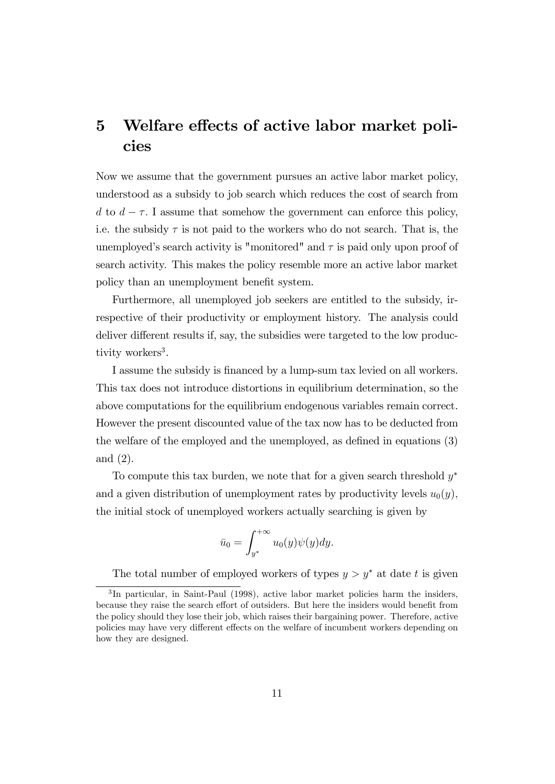## 5 Welfare effects of active labor market policies

Now we assume that the government pursues an active labor market policy, understood as a subsidy to job search which reduces the cost of search from d to  $d - \tau$ . I assume that somehow the government can enforce this policy, i.e. the subsidy  $\tau$  is not paid to the workers who do not search. That is, the unemployed's search activity is "monitored" and  $\tau$  is paid only upon proof of search activity. This makes the policy resemble more an active labor market policy than an unemployment benefit system.

Furthermore, all unemployed job seekers are entitled to the subsidy, irrespective of their productivity or employment history. The analysis could deliver different results if, say, the subsidies were targeted to the low productivity workers<sup>3</sup>.

I assume the subsidy is Önanced by a lump-sum tax levied on all workers. This tax does not introduce distortions in equilibrium determination, so the above computations for the equilibrium endogenous variables remain correct. However the present discounted value of the tax now has to be deducted from the welfare of the employed and the unemployed, as defined in equations  $(3)$ and (2).

To compute this tax burden, we note that for a given search threshold  $y^*$ and a given distribution of unemployment rates by productivity levels  $u_0(y)$ , the initial stock of unemployed workers actually searching is given by

$$
\bar{u}_0 = \int_{y^*}^{+\infty} u_0(y)\psi(y)dy.
$$

The total number of employed workers of types  $y > y^*$  at date t is given

<sup>&</sup>lt;sup>3</sup>In particular, in Saint-Paul (1998), active labor market policies harm the insiders, because they raise the search effort of outsiders. But here the insiders would benefit from the policy should they lose their job, which raises their bargaining power. Therefore, active policies may have very different effects on the welfare of incumbent workers depending on how they are designed.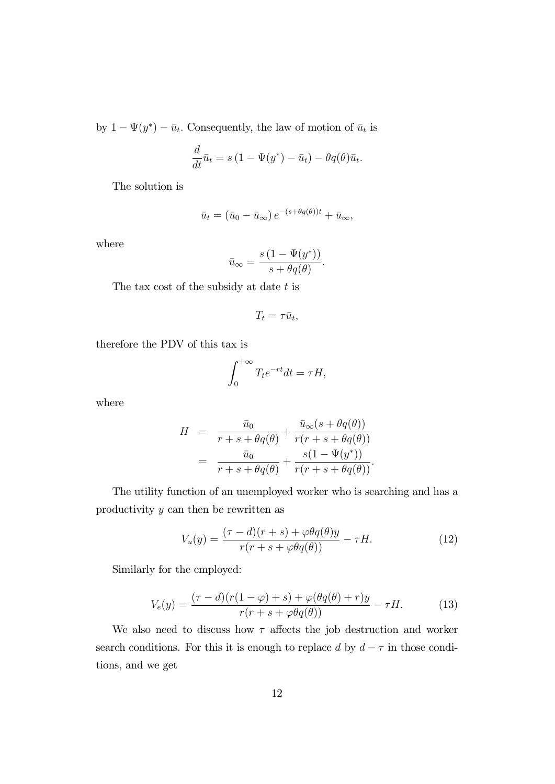by  $1 - \Psi(y^*) - \bar{u}_t$ . Consequently, the law of motion of  $\bar{u}_t$  is

$$
\frac{d}{dt}\bar{u}_t = s(1 - \Psi(y^*) - \bar{u}_t) - \theta q(\theta)\bar{u}_t.
$$

The solution is

$$
\bar{u}_t = (\bar{u}_0 - \bar{u}_\infty) e^{-(s + \theta q(\theta))t} + \bar{u}_\infty,
$$

where

$$
\bar{u}_{\infty} = \frac{s(1 - \Psi(y^*))}{s + \theta q(\theta)}.
$$

The tax cost of the subsidy at date  $t$  is

$$
T_t = \tau \bar{u}_t,
$$

therefore the PDV of this tax is

$$
\int_0^{+\infty} T_t e^{-rt} dt = \tau H,
$$

where

$$
H = \frac{\bar{u}_0}{r+s+\theta q(\theta)} + \frac{\bar{u}_{\infty}(s+\theta q(\theta))}{r(r+s+\theta q(\theta))}
$$
  
= 
$$
\frac{\bar{u}_0}{r+s+\theta q(\theta)} + \frac{s(1-\Psi(y^*))}{r(r+s+\theta q(\theta))}.
$$

The utility function of an unemployed worker who is searching and has a productivity y can then be rewritten as

$$
V_u(y) = \frac{(\tau - d)(r + s) + \varphi \theta q(\theta)y}{r(r + s + \varphi \theta q(\theta))} - \tau H.
$$
 (12)

Similarly for the employed:

$$
V_e(y) = \frac{(\tau - d)(r(1 - \varphi) + s) + \varphi(\theta q(\theta) + r)y}{r(r + s + \varphi\theta q(\theta))} - \tau H.
$$
 (13)

We also need to discuss how  $\tau$  affects the job destruction and worker search conditions. For this it is enough to replace d by  $d - \tau$  in those conditions, and we get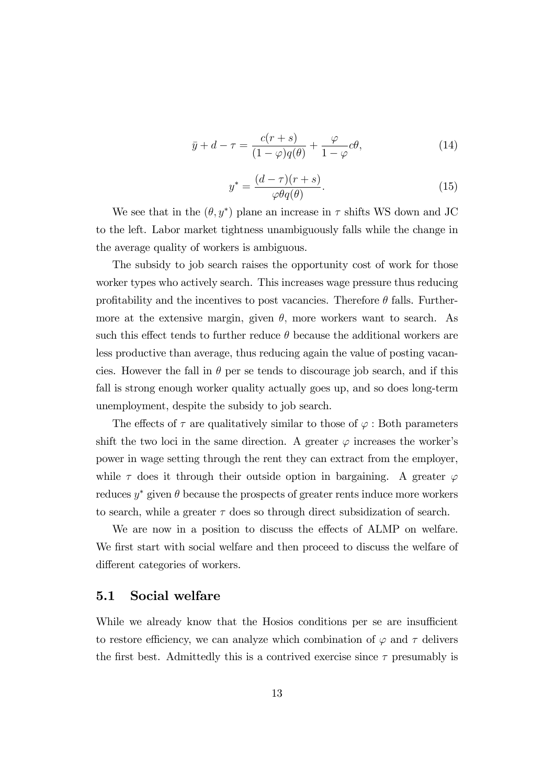$$
\bar{y} + d - \tau = \frac{c(r+s)}{(1-\varphi)q(\theta)} + \frac{\varphi}{1-\varphi}c\theta,\tag{14}
$$

$$
y^* = \frac{(d-\tau)(r+s)}{\varphi\theta q(\theta)}.\tag{15}
$$

We see that in the  $(\theta, y^*)$  plane an increase in  $\tau$  shifts WS down and JC to the left. Labor market tightness unambiguously falls while the change in the average quality of workers is ambiguous.

The subsidy to job search raises the opportunity cost of work for those worker types who actively search. This increases wage pressure thus reducing profitability and the incentives to post vacancies. Therefore  $\theta$  falls. Furthermore at the extensive margin, given  $\theta$ , more workers want to search. As such this effect tends to further reduce  $\theta$  because the additional workers are less productive than average, thus reducing again the value of posting vacancies. However the fall in  $\theta$  per se tends to discourage job search, and if this fall is strong enough worker quality actually goes up, and so does long-term unemployment, despite the subsidy to job search.

The effects of  $\tau$  are qualitatively similar to those of  $\varphi$ : Both parameters shift the two loci in the same direction. A greater  $\varphi$  increases the worker's power in wage setting through the rent they can extract from the employer, while  $\tau$  does it through their outside option in bargaining. A greater  $\varphi$ reduces  $y^*$  given  $\theta$  because the prospects of greater rents induce more workers to search, while a greater  $\tau$  does so through direct subsidization of search.

We are now in a position to discuss the effects of ALMP on welfare. We first start with social welfare and then proceed to discuss the welfare of different categories of workers.

#### 5.1 Social welfare

While we already know that the Hosios conditions per se are insufficient to restore efficiency, we can analyze which combination of  $\varphi$  and  $\tau$  delivers the first best. Admittedly this is a contrived exercise since  $\tau$  presumably is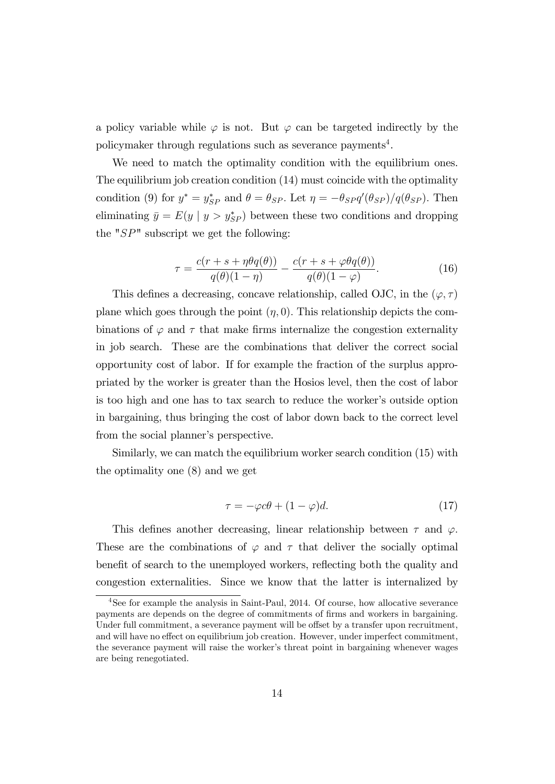a policy variable while  $\varphi$  is not. But  $\varphi$  can be targeted indirectly by the policymaker through regulations such as severance payments<sup>4</sup>.

We need to match the optimality condition with the equilibrium ones. The equilibrium job creation condition (14) must coincide with the optimality condition (9) for  $y^* = y_{SP}^*$  and  $\theta = \theta_{SP}$ . Let  $\eta = -\theta_{SP} q'(\theta_{SP})/q(\theta_{SP})$ . Then eliminating  $\bar{y} = E(y \mid y > y_{SP}^*)$  between these two conditions and dropping the " $SP$ " subscript we get the following:

$$
\tau = \frac{c(r+s+\eta\theta q(\theta))}{q(\theta)(1-\eta)} - \frac{c(r+s+\varphi\theta q(\theta))}{q(\theta)(1-\varphi)}.
$$
\n(16)

This defines a decreasing, concave relationship, called OJC, in the  $(\varphi, \tau)$ plane which goes through the point  $(\eta, 0)$ . This relationship depicts the combinations of  $\varphi$  and  $\tau$  that make firms internalize the congestion externality in job search. These are the combinations that deliver the correct social opportunity cost of labor. If for example the fraction of the surplus appropriated by the worker is greater than the Hosios level, then the cost of labor is too high and one has to tax search to reduce the worker's outside option in bargaining, thus bringing the cost of labor down back to the correct level from the social planner's perspective.

Similarly, we can match the equilibrium worker search condition (15) with the optimality one (8) and we get

$$
\tau = -\varphi c\theta + (1 - \varphi)d. \tag{17}
$$

This defines another decreasing, linear relationship between  $\tau$  and  $\varphi$ . These are the combinations of  $\varphi$  and  $\tau$  that deliver the socially optimal benefit of search to the unemployed workers, reflecting both the quality and congestion externalities. Since we know that the latter is internalized by

<sup>&</sup>lt;sup>4</sup>See for example the analysis in Saint-Paul, 2014. Of course, how allocative severance payments are depends on the degree of commitments of Örms and workers in bargaining. Under full commitment, a severance payment will be offset by a transfer upon recruitment, and will have no effect on equilibrium job creation. However, under imperfect commitment, the severance payment will raise the worker's threat point in bargaining whenever wages are being renegotiated.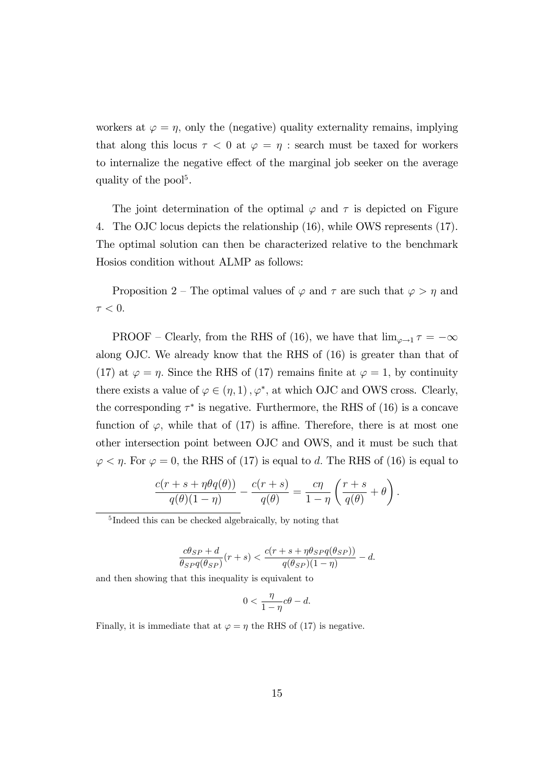workers at  $\varphi = \eta$ , only the (negative) quality externality remains, implying that along this locus  $\tau < 0$  at  $\varphi = \eta$ : search must be taxed for workers to internalize the negative effect of the marginal job seeker on the average quality of the pool<sup>5</sup>.

The joint determination of the optimal  $\varphi$  and  $\tau$  is depicted on Figure 4. The OJC locus depicts the relationship (16), while OWS represents (17). The optimal solution can then be characterized relative to the benchmark Hosios condition without ALMP as follows:

Proposition 2 – The optimal values of  $\varphi$  and  $\tau$  are such that  $\varphi > \eta$  and  $\tau < 0.$ 

PROOF – Clearly, from the RHS of (16), we have that  $\lim_{\varphi \to 1} \tau = -\infty$ along OJC. We already know that the RHS of (16) is greater than that of (17) at  $\varphi = \eta$ . Since the RHS of (17) remains finite at  $\varphi = 1$ , by continuity there exists a value of  $\varphi \in (\eta, 1), \varphi^*$ , at which OJC and OWS cross. Clearly, the corresponding  $\tau^*$  is negative. Furthermore, the RHS of (16) is a concave function of  $\varphi$ , while that of (17) is affine. Therefore, there is at most one other intersection point between OJC and OWS, and it must be such that  $\varphi < \eta$ . For  $\varphi = 0$ , the RHS of (17) is equal to d. The RHS of (16) is equal to

$$
\frac{c(r+s+\eta\theta q(\theta))}{q(\theta)(1-\eta)}-\frac{c(r+s)}{q(\theta)}=\frac{c\eta}{1-\eta}\left(\frac{r+s}{q(\theta)}+\theta\right).
$$

$$
\frac{c\theta_{SP}+d}{\theta_{SP}q(\theta_{SP})}(r+s) < \frac{c(r+s+\eta\theta_{SP}q(\theta_{SP}))}{q(\theta_{SP})(1-\eta)} - d.
$$

and then showing that this inequality is equivalent to

$$
0 < \frac{\eta}{1-\eta}c\theta - d.
$$

Finally, it is immediate that at  $\varphi = \eta$  the RHS of (17) is negative.

<sup>5</sup> Indeed this can be checked algebraically, by noting that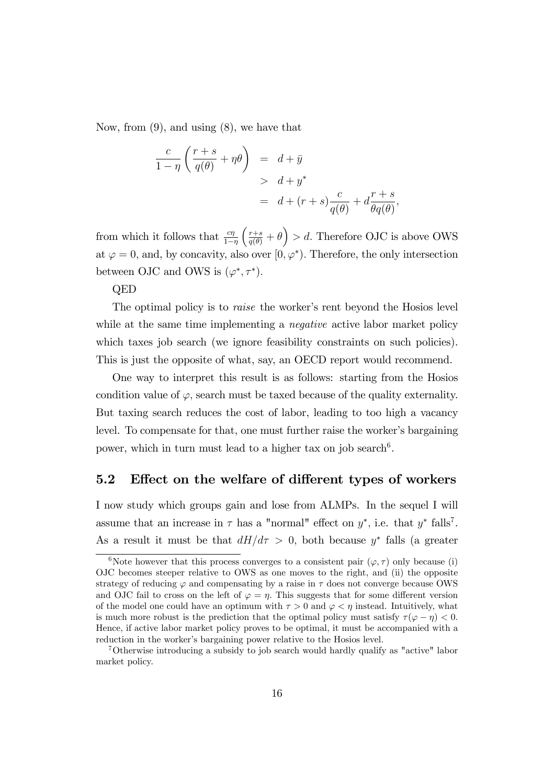Now, from (9), and using (8), we have that

$$
\frac{c}{1-\eta} \left( \frac{r+s}{q(\theta)} + \eta \theta \right) = d + \bar{y}
$$
  
>  $d + y^*$   
=  $d + (r+s) \frac{c}{q(\theta)} + d \frac{r+s}{\theta q(\theta)},$ 

from which it follows that  $\frac{c\eta}{1-\eta}$  $\left(\frac{r+s}{q(\theta)} + \theta\right) > d.$  Therefore OJC is above OWS at  $\varphi = 0$ , and, by concavity, also over  $[0, \varphi^*$ ). Therefore, the only intersection between OJC and OWS is  $(\varphi^*, \tau^*)$ .

QED

The optimal policy is to *raise* the worker's rent beyond the Hosios level while at the same time implementing a *negative* active labor market policy which taxes job search (we ignore feasibility constraints on such policies). This is just the opposite of what, say, an OECD report would recommend.

One way to interpret this result is as follows: starting from the Hosios condition value of  $\varphi$ , search must be taxed because of the quality externality. But taxing search reduces the cost of labor, leading to too high a vacancy level. To compensate for that, one must further raise the worker's bargaining power, which in turn must lead to a higher tax on job search<sup>6</sup>.

#### 5.2 Effect on the welfare of different types of workers

I now study which groups gain and lose from ALMPs. In the sequel I will assume that an increase in  $\tau$  has a "normal" effect on  $y^*$ , i.e. that  $y^*$  falls<sup>7</sup>. As a result it must be that  $dH/d\tau > 0$ , both because  $y^*$  falls (a greater

<sup>&</sup>lt;sup>6</sup>Note however that this process converges to a consistent pair  $(\varphi, \tau)$  only because (i) OJC becomes steeper relative to OWS as one moves to the right, and (ii) the opposite strategy of reducing  $\varphi$  and compensating by a raise in  $\tau$  does not converge because OWS and OJC fail to cross on the left of  $\varphi = \eta$ . This suggests that for some different version of the model one could have an optimum with  $\tau > 0$  and  $\varphi < \eta$  instead. Intuitively, what is much more robust is the prediction that the optimal policy must satisfy  $\tau(\varphi - \eta) < 0$ . Hence, if active labor market policy proves to be optimal, it must be accompanied with a reduction in the worker's bargaining power relative to the Hosios level.

<sup>7</sup>Otherwise introducing a subsidy to job search would hardly qualify as "active" labor market policy.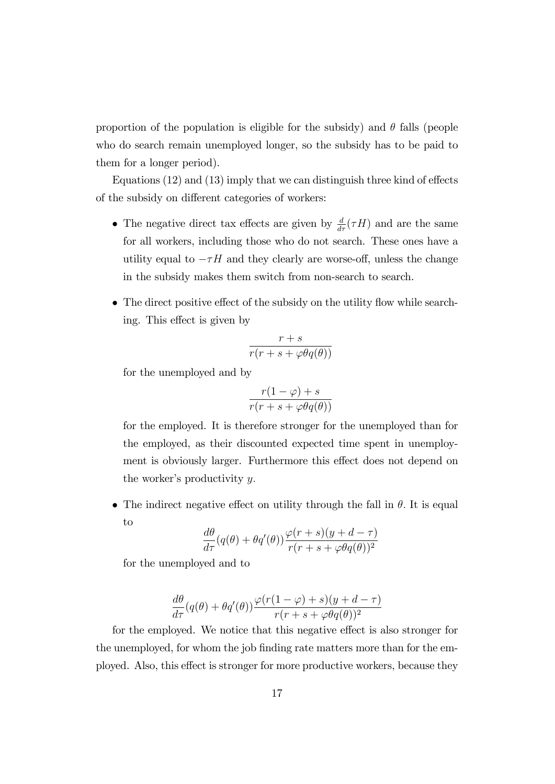proportion of the population is eligible for the subsidy) and  $\theta$  falls (people who do search remain unemployed longer, so the subsidy has to be paid to them for a longer period).

Equations  $(12)$  and  $(13)$  imply that we can distinguish three kind of effects of the subsidy on different categories of workers:

- The negative direct tax effects are given by  $\frac{d}{d\tau}(\tau H)$  and are the same for all workers, including those who do not search. These ones have a utility equal to  $-\tau H$  and they clearly are worse-off, unless the change in the subsidy makes them switch from non-search to search.
- $\bullet$  The direct positive effect of the subsidy on the utility flow while searching. This effect is given by

$$
\frac{r+s}{r(r+s+\varphi\theta q(\theta))}
$$

for the unemployed and by

$$
\frac{r(1-\varphi)+s}{r(r+s+\varphi\theta q(\theta))}
$$

for the employed. It is therefore stronger for the unemployed than for the employed, as their discounted expected time spent in unemployment is obviously larger. Furthermore this effect does not depend on the worker's productivity  $y$ .

• The indirect negative effect on utility through the fall in  $\theta$ . It is equal to

$$
\frac{d\theta}{d\tau}(q(\theta) + \theta q'(\theta)) \frac{\varphi(r+s)(y+d-\tau)}{r(r+s+\varphi\theta q(\theta))^2}
$$

for the unemployed and to

$$
\frac{d\theta}{d\tau}(q(\theta) + \theta q'(\theta)) \frac{\varphi(r(1-\varphi) + s)(y + d - \tau)}{r(r + s + \varphi \theta q(\theta))^2}
$$

for the employed. We notice that this negative effect is also stronger for the unemployed, for whom the job finding rate matters more than for the employed. Also, this effect is stronger for more productive workers, because they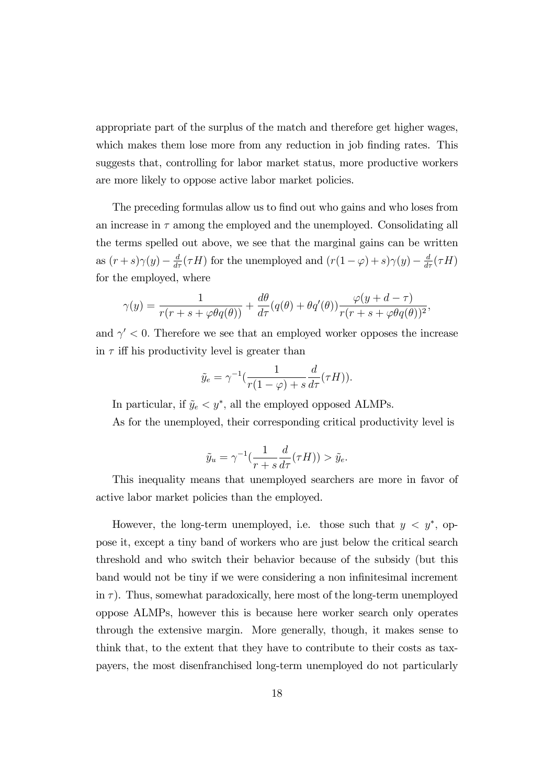appropriate part of the surplus of the match and therefore get higher wages, which makes them lose more from any reduction in job finding rates. This suggests that, controlling for labor market status, more productive workers are more likely to oppose active labor market policies.

The preceding formulas allow us to find out who gains and who loses from an increase in  $\tau$  among the employed and the unemployed. Consolidating all the terms spelled out above, we see that the marginal gains can be written as  $(r+s)\gamma(y) - \frac{d}{d\tau}(\tau H)$  for the unemployed and  $(r(1-\varphi) + s)\gamma(y) - \frac{d}{d\tau}(\tau H)$ for the employed, where

$$
\gamma(y) = \frac{1}{r(r+s+\varphi\theta q(\theta))} + \frac{d\theta}{d\tau}(q(\theta) + \theta q'(\theta))\frac{\varphi(y+d-\tau)}{r(r+s+\varphi\theta q(\theta))^2},
$$

and  $\gamma' < 0$ . Therefore we see that an employed worker opposes the increase in  $\tau$  iff his productivity level is greater than

$$
\tilde{y}_e = \gamma^{-1} \left( \frac{1}{r(1-\varphi) + s} \frac{d}{d\tau} (\tau H) \right).
$$

In particular, if  $\tilde{y}_e < y^*$ , all the employed opposed ALMPs.

As for the unemployed, their corresponding critical productivity level is

$$
\tilde{y}_u = \gamma^{-1} \left( \frac{1}{r+s} \frac{d}{d\tau} (\tau H) \right) > \tilde{y}_e.
$$

This inequality means that unemployed searchers are more in favor of active labor market policies than the employed.

However, the long-term unemployed, i.e. those such that  $y < y^*$ , oppose it, except a tiny band of workers who are just below the critical search threshold and who switch their behavior because of the subsidy (but this band would not be tiny if we were considering a non infinitesimal increment in  $\tau$ ). Thus, somewhat paradoxically, here most of the long-term unemployed oppose ALMPs, however this is because here worker search only operates through the extensive margin. More generally, though, it makes sense to think that, to the extent that they have to contribute to their costs as taxpayers, the most disenfranchised long-term unemployed do not particularly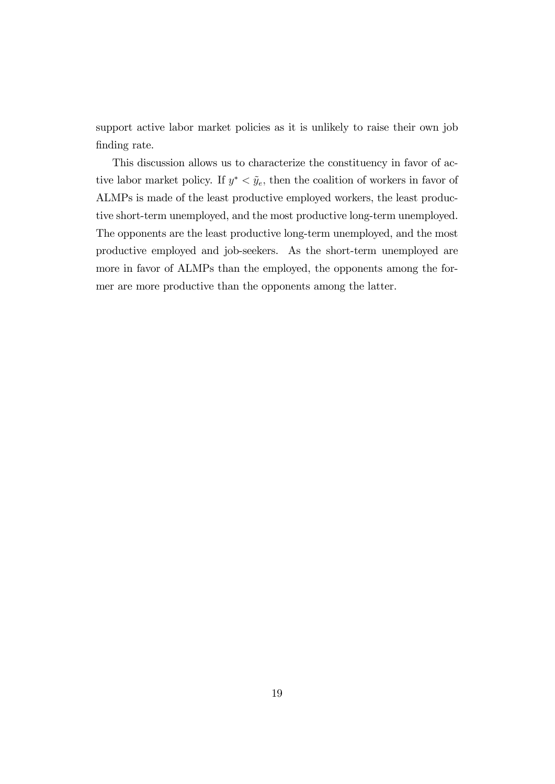support active labor market policies as it is unlikely to raise their own job finding rate.

This discussion allows us to characterize the constituency in favor of active labor market policy. If  $y^* < \tilde{y}_e$ , then the coalition of workers in favor of ALMPs is made of the least productive employed workers, the least productive short-term unemployed, and the most productive long-term unemployed. The opponents are the least productive long-term unemployed, and the most productive employed and job-seekers. As the short-term unemployed are more in favor of ALMPs than the employed, the opponents among the former are more productive than the opponents among the latter.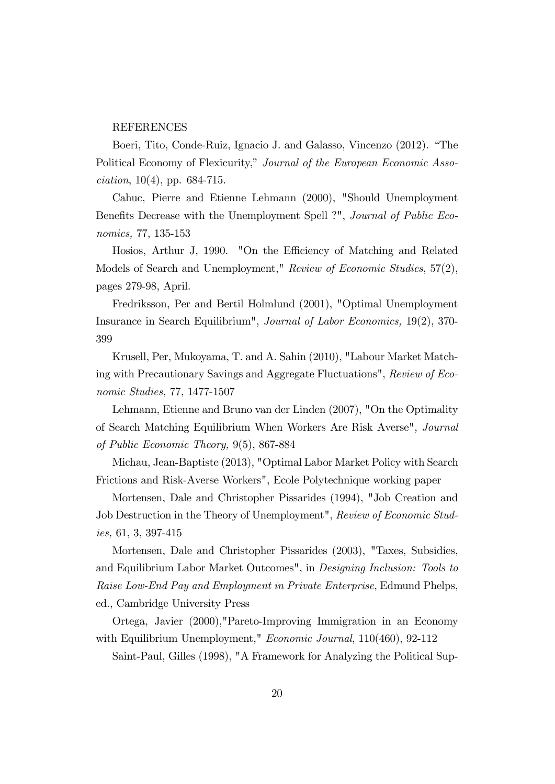#### REFERENCES

Boeri, Tito, Conde-Ruiz, Ignacio J. and Galasso, Vincenzo (2012). "The Political Economy of Flexicurity," Journal of the European Economic Asso $ciation, 10(4), pp. 684-715.$ 

Cahuc, Pierre and Etienne Lehmann (2000), "Should Unemployment Benefits Decrease with the Unemployment Spell ?", *Journal of Public Eco*nomics, 77, 135-153

Hosios, Arthur J, 1990. "On the Efficiency of Matching and Related Models of Search and Unemployment," Review of Economic Studies, 57(2), pages 279-98, April.

Fredriksson, Per and Bertil Holmlund (2001), "Optimal Unemployment Insurance in Search Equilibrium", Journal of Labor Economics, 19(2), 370- 399

Krusell, Per, Mukoyama, T. and A. Sahin (2010), "Labour Market Matching with Precautionary Savings and Aggregate Fluctuations", Review of Economic Studies, 77, 1477-1507

Lehmann, Etienne and Bruno van der Linden (2007), "On the Optimality of Search Matching Equilibrium When Workers Are Risk Averse", Journal of Public Economic Theory, 9(5), 867-884

Michau, Jean-Baptiste (2013), "Optimal Labor Market Policy with Search Frictions and Risk-Averse Workers", Ecole Polytechnique working paper

Mortensen, Dale and Christopher Pissarides (1994), "Job Creation and Job Destruction in the Theory of Unemployment", Review of Economic Studies, 61, 3, 397-415

Mortensen, Dale and Christopher Pissarides (2003), "Taxes, Subsidies, and Equilibrium Labor Market Outcomes", in Designing Inclusion: Tools to Raise Low-End Pay and Employment in Private Enterprise, Edmund Phelps, ed., Cambridge University Press

Ortega, Javier (2000),"Pareto-Improving Immigration in an Economy with Equilibrium Unemployment," Economic Journal, 110(460), 92-112

Saint-Paul, Gilles (1998), "A Framework for Analyzing the Political Sup-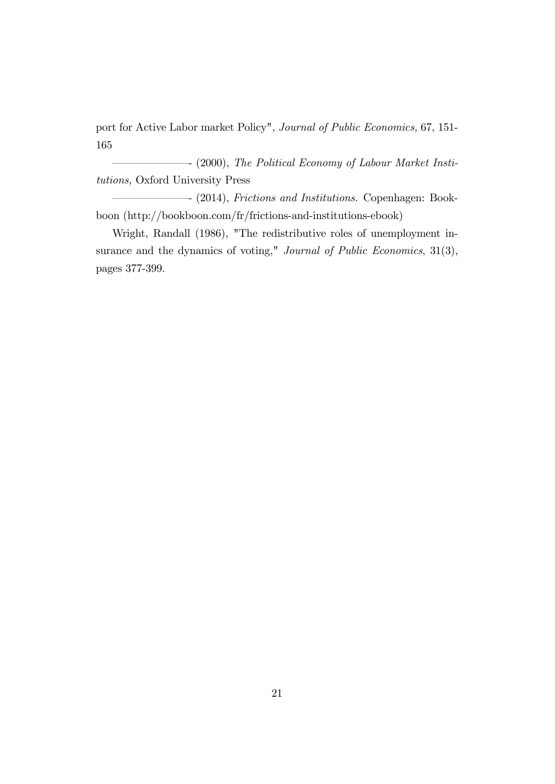port for Active Labor market Policy", Journal of Public Economics, 67, 151- 165

 $\longrightarrow$  (2000), The Political Economy of Labour Market Institutions, Oxford University Press

(2014), Frictions and Institutions. Copenhagen: Bookboon (http://bookboon.com/fr/frictions-and-institutions-ebook)

Wright, Randall (1986), "The redistributive roles of unemployment insurance and the dynamics of voting," Journal of Public Economics, 31(3), pages 377-399.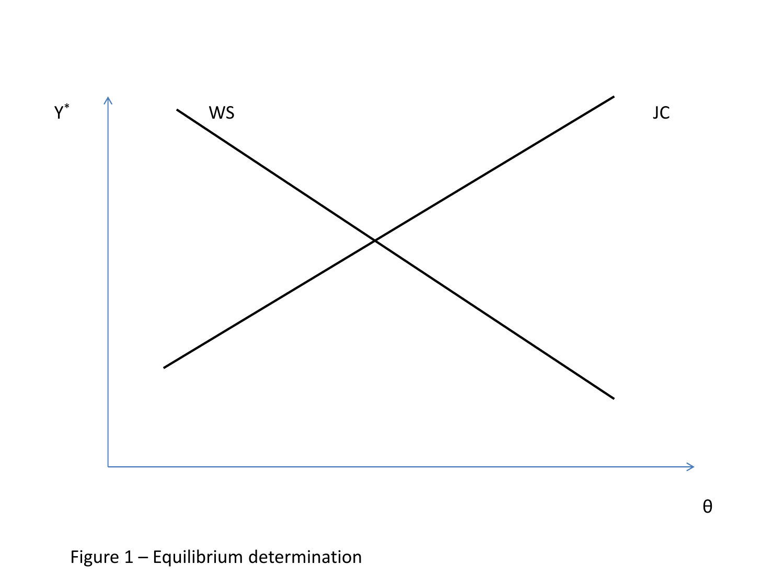

θ

## Figure 1 – Equilibrium determination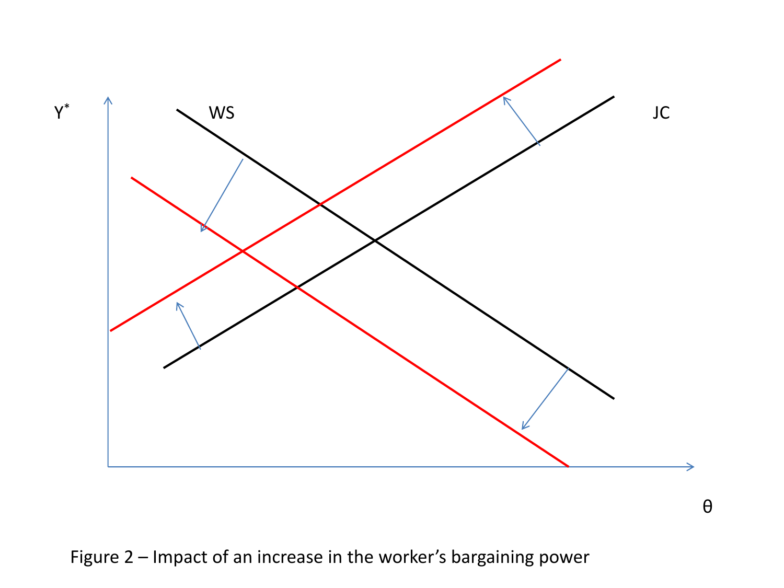

Figure 2 – Impact of an increase in the worker's bargaining power

θ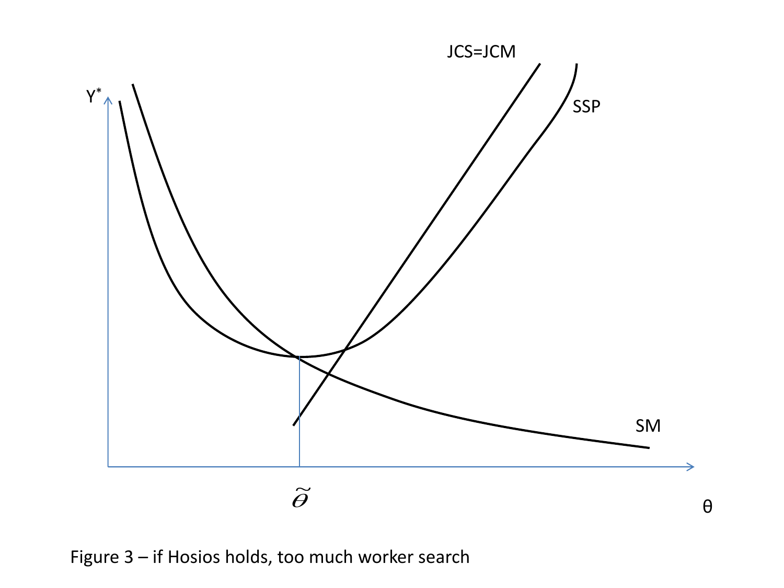

Figure 3 – if Hosios holds, too much worker search